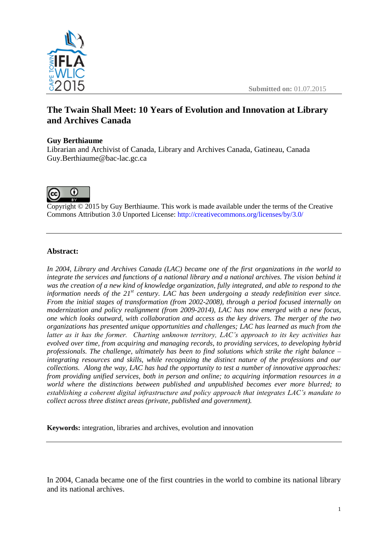

# **The Twain Shall Meet: 10 Years of Evolution and Innovation at Library and Archives Canada**

## **Guy Berthiaume**

Librarian and Archivist of Canada, Library and Archives Canada, Gatineau, Canada Guy.Berthiaume@bac-lac.gc.ca



Copyright © 2015 by Guy Berthiaume. This work is made available under the terms of the Creative Commons Attribution 3.0 Unported License: <http://creativecommons.org/licenses/by/3.0/>

### **Abstract:**

*In 2004, Library and Archives Canada (LAC) became one of the first organizations in the world to integrate the services and functions of a national library and a national archives. The vision behind it was the creation of a new kind of knowledge organization, fully integrated, and able to respond to the information needs of the 21st century. LAC has been undergoing a steady redefinition ever since. From the initial stages of transformation (from 2002-2008), through a period focused internally on modernization and policy realignment (from 2009-2014), LAC has now emerged with a new focus, one which looks outward, with collaboration and access as the key drivers. The merger of the two organizations has presented unique opportunities and challenges; LAC has learned as much from the latter as it has the former. Charting unknown territory, LAC's approach to its key activities has evolved over time, from acquiring and managing records, to providing services, to developing hybrid professionals. The challenge, ultimately has been to find solutions which strike the right balance – integrating resources and skills, while recognizing the distinct nature of the professions and our collections. Along the way, LAC has had the opportunity to test a number of innovative approaches: from providing unified services, both in person and online; to acquiring information resources in a world where the distinctions between published and unpublished becomes ever more blurred; to establishing a coherent digital infrastructure and policy approach that integrates LAC's mandate to collect across three distinct areas (private, published and government).* 

**Keywords:** integration, libraries and archives, evolution and innovation

In 2004, Canada became one of the first countries in the world to combine its national library and its national archives.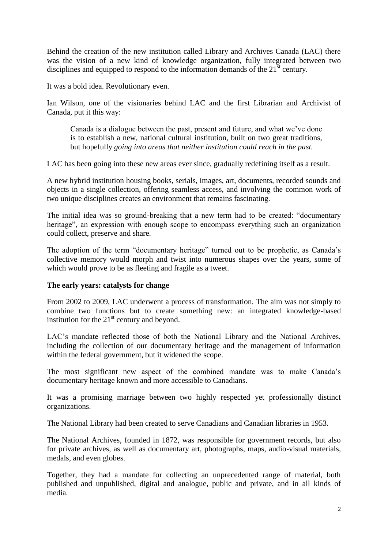Behind the creation of the new institution called Library and Archives Canada (LAC) there was the vision of a new kind of knowledge organization, fully integrated between two disciplines and equipped to respond to the information demands of the  $21<sup>st</sup>$  century.

It was a bold idea. Revolutionary even.

Ian Wilson, one of the visionaries behind LAC and the first Librarian and Archivist of Canada, put it this way:

Canada is a dialogue between the past, present and future, and what we've done is to establish a new, national cultural institution, built on two great traditions, but hopefully *going into areas that neither institution could reach in the past.*

LAC has been going into these new areas ever since, gradually redefining itself as a result.

A new hybrid institution housing books, serials, images, art, documents, recorded sounds and objects in a single collection, offering seamless access, and involving the common work of two unique disciplines creates an environment that remains fascinating.

The initial idea was so ground-breaking that a new term had to be created: "documentary heritage", an expression with enough scope to encompass everything such an organization could collect, preserve and share.

The adoption of the term "documentary heritage" turned out to be prophetic, as Canada's collective memory would morph and twist into numerous shapes over the years, some of which would prove to be as fleeting and fragile as a tweet.

#### **The early years: catalysts for change**

From 2002 to 2009, LAC underwent a process of transformation. The aim was not simply to combine two functions but to create something new: an integrated knowledge-based institution for the  $21<sup>st</sup>$  century and beyond.

LAC's mandate reflected those of both the National Library and the National Archives, including the collection of our documentary heritage and the management of information within the federal government, but it widened the scope.

The most significant new aspect of the combined mandate was to make Canada's documentary heritage known and more accessible to Canadians.

It was a promising marriage between two highly respected yet professionally distinct organizations.

The National Library had been created to serve Canadians and Canadian libraries in 1953.

The National Archives, founded in 1872, was responsible for government records, but also for private archives, as well as documentary art, photographs, maps, audio-visual materials, medals, and even globes.

Together, they had a mandate for collecting an unprecedented range of material, both published and unpublished, digital and analogue, public and private, and in all kinds of media.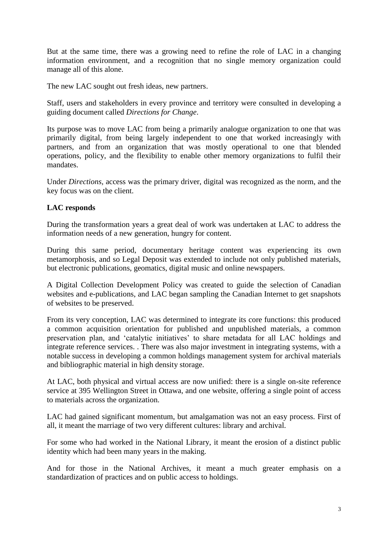But at the same time, there was a growing need to refine the role of LAC in a changing information environment, and a recognition that no single memory organization could manage all of this alone.

The new LAC sought out fresh ideas, new partners.

Staff, users and stakeholders in every province and territory were consulted in developing a guiding document called *Directions for Change*.

Its purpose was to move LAC from being a primarily analogue organization to one that was primarily digital, from being largely independent to one that worked increasingly with partners, and from an organization that was mostly operational to one that blended operations, policy, and the flexibility to enable other memory organizations to fulfil their mandates.

Under *Directions,* access was the primary driver, digital was recognized as the norm, and the key focus was on the client.

## **LAC responds**

During the transformation years a great deal of work was undertaken at LAC to address the information needs of a new generation, hungry for content.

During this same period, documentary heritage content was experiencing its own metamorphosis, and so Legal Deposit was extended to include not only published materials, but electronic publications, geomatics, digital music and online newspapers.

A Digital Collection Development Policy was created to guide the selection of Canadian websites and e-publications, and LAC began sampling the Canadian Internet to get snapshots of websites to be preserved.

From its very conception, LAC was determined to integrate its core functions: this produced a common acquisition orientation for published and unpublished materials, a common preservation plan, and 'catalytic initiatives' to share metadata for all LAC holdings and integrate reference services. . There was also major investment in integrating systems, with a notable success in developing a common holdings management system for archival materials and bibliographic material in high density storage.

At LAC, both physical and virtual access are now unified: there is a single on-site reference service at 395 Wellington Street in Ottawa, and one website, offering a single point of access to materials across the organization.

LAC had gained significant momentum, but amalgamation was not an easy process. First of all, it meant the marriage of two very different cultures: library and archival.

For some who had worked in the National Library, it meant the erosion of a distinct public identity which had been many years in the making.

And for those in the National Archives, it meant a much greater emphasis on a standardization of practices and on public access to holdings.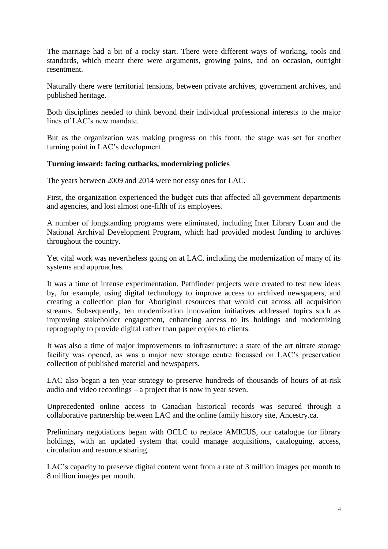The marriage had a bit of a rocky start. There were different ways of working, tools and standards, which meant there were arguments, growing pains, and on occasion, outright resentment.

Naturally there were territorial tensions, between private archives, government archives, and published heritage.

Both disciplines needed to think beyond their individual professional interests to the major lines of LAC's new mandate.

But as the organization was making progress on this front, the stage was set for another turning point in LAC's development.

### **Turning inward: facing cutbacks, modernizing policies**

The years between 2009 and 2014 were not easy ones for LAC.

First, the organization experienced the budget cuts that affected all government departments and agencies, and lost almost one-fifth of its employees.

A number of longstanding programs were eliminated, including Inter Library Loan and the National Archival Development Program, which had provided modest funding to archives throughout the country.

Yet vital work was nevertheless going on at LAC, including the modernization of many of its systems and approaches.

It was a time of intense experimentation. Pathfinder projects were created to test new ideas by, for example, using digital technology to improve access to archived newspapers, and creating a collection plan for Aboriginal resources that would cut across all acquisition streams. Subsequently, ten modernization innovation initiatives addressed topics such as improving stakeholder engagement, enhancing access to its holdings and modernizing reprography to provide digital rather than paper copies to clients.

It was also a time of major improvements to infrastructure: a state of the art nitrate storage facility was opened, as was a major new storage centre focussed on LAC's preservation collection of published material and newspapers.

LAC also began a ten year strategy to preserve hundreds of thousands of hours of at-risk audio and video recordings – a project that is now in year seven.

Unprecedented online access to Canadian historical records was secured through a collaborative partnership between LAC and the online family history site, Ancestry.ca.

Preliminary negotiations began with OCLC to replace AMICUS, our catalogue for library holdings, with an updated system that could manage acquisitions, cataloguing, access, circulation and resource sharing.

LAC's capacity to preserve digital content went from a rate of 3 million images per month to 8 million images per month.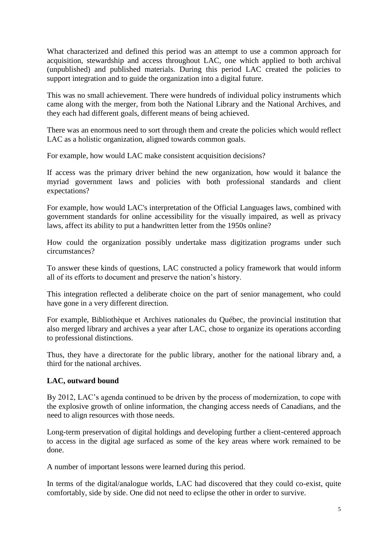What characterized and defined this period was an attempt to use a common approach for acquisition, stewardship and access throughout LAC, one which applied to both archival (unpublished) and published materials. During this period LAC created the policies to support integration and to guide the organization into a digital future.

This was no small achievement. There were hundreds of individual policy instruments which came along with the merger, from both the National Library and the National Archives, and they each had different goals, different means of being achieved.

There was an enormous need to sort through them and create the policies which would reflect LAC as a holistic organization, aligned towards common goals.

For example, how would LAC make consistent acquisition decisions?

If access was the primary driver behind the new organization, how would it balance the myriad government laws and policies with both professional standards and client expectations?

For example, how would LAC's interpretation of the Official Languages laws, combined with government standards for online accessibility for the visually impaired, as well as privacy laws, affect its ability to put a handwritten letter from the 1950s online?

How could the organization possibly undertake mass digitization programs under such circumstances?

To answer these kinds of questions, LAC constructed a policy framework that would inform all of its efforts to document and preserve the nation's history.

This integration reflected a deliberate choice on the part of senior management, who could have gone in a very different direction.

For example, Bibliothèque et Archives nationales du Québec, the provincial institution that also merged library and archives a year after LAC, chose to organize its operations according to professional distinctions.

Thus, they have a directorate for the public library, another for the national library and, a third for the national archives.

## **LAC, outward bound**

By 2012, LAC's agenda continued to be driven by the process of modernization, to cope with the explosive growth of online information, the changing access needs of Canadians, and the need to align resources with those needs.

Long-term preservation of digital holdings and developing further a client-centered approach to access in the digital age surfaced as some of the key areas where work remained to be done.

A number of important lessons were learned during this period.

In terms of the digital/analogue worlds, LAC had discovered that they could co-exist, quite comfortably, side by side. One did not need to eclipse the other in order to survive.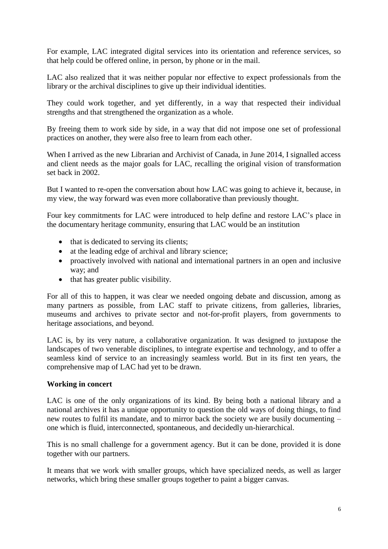For example, LAC integrated digital services into its orientation and reference services, so that help could be offered online, in person, by phone or in the mail.

LAC also realized that it was neither popular nor effective to expect professionals from the library or the archival disciplines to give up their individual identities.

They could work together, and yet differently, in a way that respected their individual strengths and that strengthened the organization as a whole.

By freeing them to work side by side, in a way that did not impose one set of professional practices on another, they were also free to learn from each other.

When I arrived as the new Librarian and Archivist of Canada, in June 2014, I signalled access and client needs as the major goals for LAC, recalling the original vision of transformation set back in 2002.

But I wanted to re-open the conversation about how LAC was going to achieve it, because, in my view, the way forward was even more collaborative than previously thought.

Four key commitments for LAC were introduced to help define and restore LAC's place in the documentary heritage community, ensuring that LAC would be an institution

- that is dedicated to serving its clients;
- at the leading edge of archival and library science;
- proactively involved with national and international partners in an open and inclusive way; and
- that has greater public visibility.

For all of this to happen, it was clear we needed ongoing debate and discussion, among as many partners as possible, from LAC staff to private citizens, from galleries, libraries, museums and archives to private sector and not-for-profit players, from governments to heritage associations, and beyond.

LAC is, by its very nature, a collaborative organization. It was designed to juxtapose the landscapes of two venerable disciplines, to integrate expertise and technology, and to offer a seamless kind of service to an increasingly seamless world. But in its first ten years, the comprehensive map of LAC had yet to be drawn.

## **Working in concert**

LAC is one of the only organizations of its kind. By being both a national library and a national archives it has a unique opportunity to question the old ways of doing things, to find new routes to fulfil its mandate, and to mirror back the society we are busily documenting – one which is fluid, interconnected, spontaneous, and decidedly un-hierarchical.

This is no small challenge for a government agency. But it can be done, provided it is done together with our partners.

It means that we work with smaller groups, which have specialized needs, as well as larger networks, which bring these smaller groups together to paint a bigger canvas.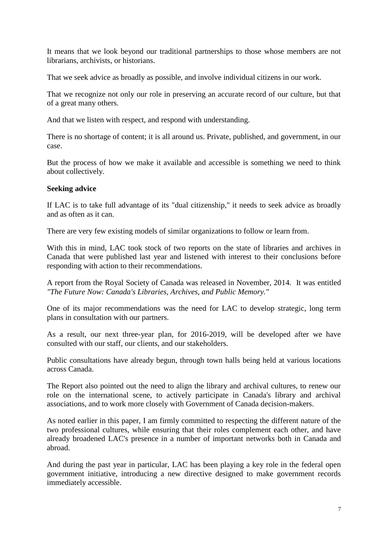It means that we look beyond our traditional partnerships to those whose members are not librarians, archivists, or historians.

That we seek advice as broadly as possible, and involve individual citizens in our work.

That we recognize not only our role in preserving an accurate record of our culture, but that of a great many others.

And that we listen with respect, and respond with understanding.

There is no shortage of content; it is all around us. Private, published, and government, in our case.

But the process of how we make it available and accessible is something we need to think about collectively.

### **Seeking advice**

If LAC is to take full advantage of its "dual citizenship," it needs to seek advice as broadly and as often as it can.

There are very few existing models of similar organizations to follow or learn from.

With this in mind, LAC took stock of two reports on the state of libraries and archives in Canada that were published last year and listened with interest to their conclusions before responding with action to their recommendations.

A report from the Royal Society of Canada was released in November, 2014. It was entitled *"The Future Now: Canada's Libraries, Archives, and Public Memory."*

One of its major recommendations was the need for LAC to develop strategic, long term plans in consultation with our partners.

As a result, our next three-year plan, for 2016-2019, will be developed after we have consulted with our staff, our clients, and our stakeholders.

Public consultations have already begun, through town halls being held at various locations across Canada.

The Report also pointed out the need to align the library and archival cultures, to renew our role on the international scene, to actively participate in Canada's library and archival associations, and to work more closely with Government of Canada decision-makers.

As noted earlier in this paper, I am firmly committed to respecting the different nature of the two professional cultures, while ensuring that their roles complement each other, and have already broadened LAC's presence in a number of important networks both in Canada and abroad.

And during the past year in particular, LAC has been playing a key role in the federal open government initiative, introducing a new directive designed to make government records immediately accessible.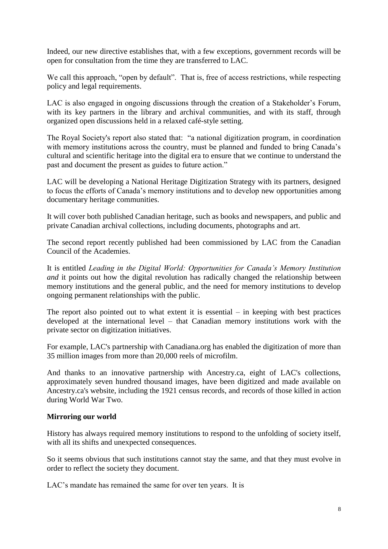Indeed, our new directive establishes that, with a few exceptions, government records will be open for consultation from the time they are transferred to LAC.

We call this approach, "open by default". That is, free of access restrictions, while respecting policy and legal requirements.

LAC is also engaged in ongoing discussions through the creation of a Stakeholder's Forum, with its key partners in the library and archival communities, and with its staff, through organized open discussions held in a relaxed café-style setting.

The Royal Society's report also stated that: "a national digitization program, in coordination with memory institutions across the country, must be planned and funded to bring Canada's cultural and scientific heritage into the digital era to ensure that we continue to understand the past and document the present as guides to future action."

LAC will be developing a National Heritage Digitization Strategy with its partners, designed to focus the efforts of Canada's memory institutions and to develop new opportunities among documentary heritage communities.

It will cover both published Canadian heritage, such as books and newspapers, and public and private Canadian archival collections, including documents, photographs and art.

The second report recently published had been commissioned by LAC from the Canadian Council of the Academies.

It is entitled *Leading in the Digital World: Opportunities for Canada's Memory Institution and* it points out how the digital revolution has radically changed the relationship between memory institutions and the general public, and the need for memory institutions to develop ongoing permanent relationships with the public.

The report also pointed out to what extent it is essential – in keeping with best practices developed at the international level – that Canadian memory institutions work with the private sector on digitization initiatives.

For example, LAC's partnership with Canadiana.org has enabled the digitization of more than 35 million images from more than 20,000 reels of microfilm.

And thanks to an innovative partnership with Ancestry.ca, eight of LAC's collections, approximately seven hundred thousand images, have been digitized and made available on Ancestry.ca's website, including the 1921 census records, and records of those killed in action during World War Two.

## **Mirroring our world**

History has always required memory institutions to respond to the unfolding of society itself, with all its shifts and unexpected consequences.

So it seems obvious that such institutions cannot stay the same, and that they must evolve in order to reflect the society they document.

LAC's mandate has remained the same for over ten years. It is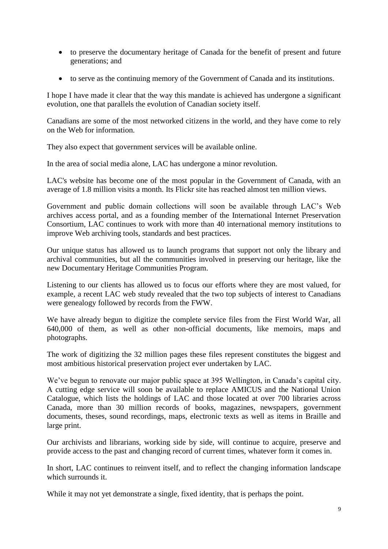- to preserve the documentary heritage of Canada for the benefit of present and future generations; and
- to serve as the continuing memory of the Government of Canada and its institutions.

I hope I have made it clear that the way this mandate is achieved has undergone a significant evolution, one that parallels the evolution of Canadian society itself.

Canadians are some of the most networked citizens in the world, and they have come to rely on the Web for information.

They also expect that government services will be available online.

In the area of social media alone, LAC has undergone a minor revolution.

LAC's website has become one of the most popular in the Government of Canada, with an average of 1.8 million visits a month. Its Flickr site has reached almost ten million views.

Government and public domain collections will soon be available through LAC's Web archives access portal, and as a founding member of the International Internet Preservation Consortium, LAC continues to work with more than 40 international memory institutions to improve Web archiving tools, standards and best practices.

Our unique status has allowed us to launch programs that support not only the library and archival communities, but all the communities involved in preserving our heritage, like the new Documentary Heritage Communities Program.

Listening to our clients has allowed us to focus our efforts where they are most valued, for example, a recent LAC web study revealed that the two top subjects of interest to Canadians were genealogy followed by records from the FWW.

We have already begun to digitize the complete service files from the First World War, all 640,000 of them, as well as other non-official documents, like memoirs, maps and photographs.

The work of digitizing the 32 million pages these files represent constitutes the biggest and most ambitious historical preservation project ever undertaken by LAC.

We've begun to renovate our major public space at 395 Wellington, in Canada's capital city. A cutting edge service will soon be available to replace AMICUS and the National Union Catalogue, which lists the holdings of LAC and those located at over 700 libraries across Canada, more than 30 million records of books, magazines, newspapers, government documents, theses, sound recordings, maps, electronic texts as well as items in Braille and large print.

Our archivists and librarians, working side by side, will continue to acquire, preserve and provide access to the past and changing record of current times, whatever form it comes in.

In short, LAC continues to reinvent itself, and to reflect the changing information landscape which surrounds it.

While it may not yet demonstrate a single, fixed identity, that is perhaps the point.